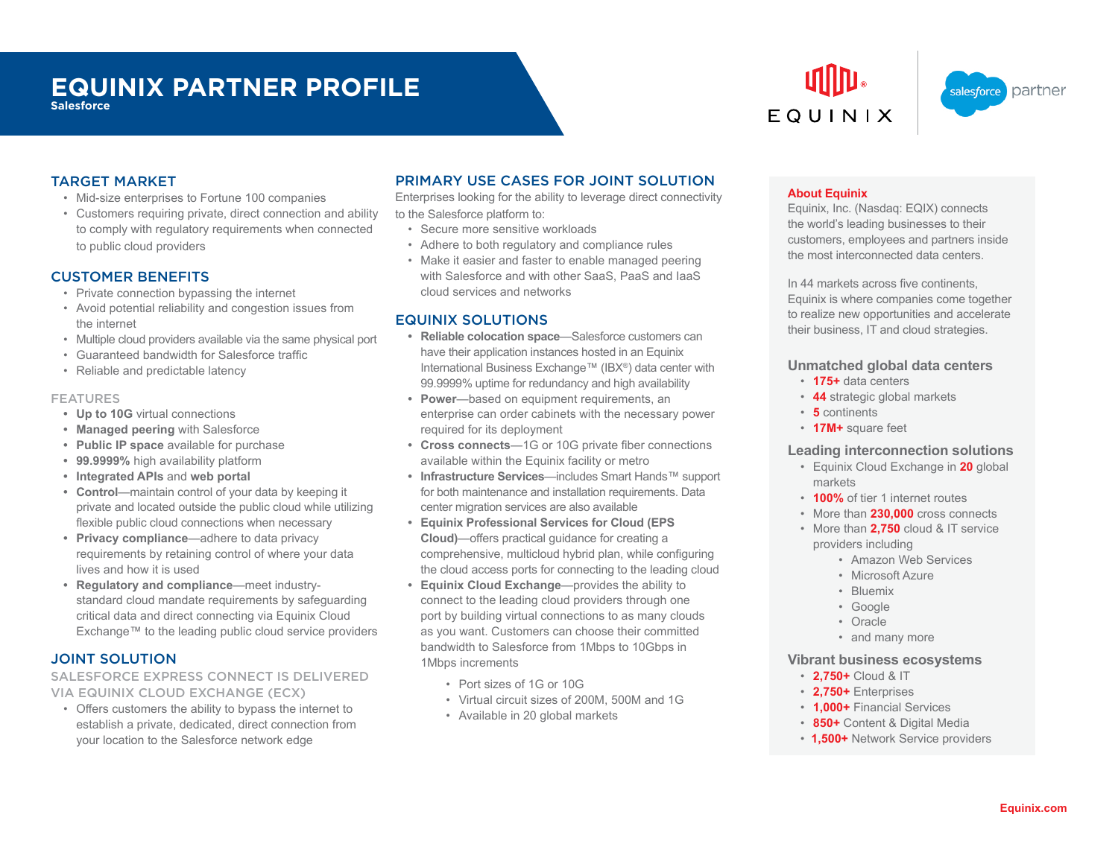# **EQUINIX PARTNER PROFILE**

**Salesforce**





### TARGET MARKET

- Mid-size enterprises to Fortune 100 companies
- Customers requiring private, direct connection and ability to comply with regulatory requirements when connected to public cloud providers

# CUSTOMER BENEFITS

- Private connection bypassing the internet
- Avoid potential reliability and congestion issues from the internet
- Multiple cloud providers available via the same physical port
- Guaranteed bandwidth for Salesforce traffic
- Reliable and predictable latency

#### FEATURES

- **• Up to 10G** virtual connections
- **• Managed peering** with Salesforce
- **• Public IP space** available for purchase
- **• 99.9999%** high availability platform
- **• Integrated APIs** and **web portal**
- **• Control**—maintain control of your data by keeping it private and located outside the public cloud while utilizing flexible public cloud connections when necessary
- **• Privacy compliance**—adhere to data privacy requirements by retaining control of where your data lives and how it is used
- **• Regulatory and compliance**—meet industrystandard cloud mandate requirements by safeguarding critical data and direct connecting via Equinix Cloud Exchange™ to the leading public cloud service providers

# JOINT SOLUTION

SALESFORCE EXPRESS CONNECT IS DELIVERED VIA EQUINIX CLOUD EXCHANGE (ECX)

• Offers customers the ability to bypass the internet to establish a private, dedicated, direct connection from your location to the Salesforce network edge

# PRIMARY USE CASES FOR JOINT SOLUTION

Enterprises looking for the ability to leverage direct connectivity to the Salesforce platform to:

- Secure more sensitive workloads
- Adhere to both regulatory and compliance rules
- Make it easier and faster to enable managed peering with Salesforce and with other SaaS, PaaS and IaaS cloud services and networks

# EQUINIX SOLUTIONS

- **• Reliable colocation space**—Salesforce customers can have their application instances hosted in an Equinix International Business Exchange™ (IBX®) data center with 99.9999% uptime for redundancy and high availability
- **• Power**—based on equipment requirements, an enterprise can order cabinets with the necessary power required for its deployment
- **• Cross connects**—1G or 10G private fiber connections available within the Equinix facility or metro
- **• Infrastructure Services**—includes Smart Hands™ support for both maintenance and installation requirements. Data center migration services are also available
- **• Equinix Professional Services for Cloud (EPS Cloud)**—offers practical guidance for creating a comprehensive, multicloud hybrid plan, while configuring the cloud access ports for connecting to the leading cloud
- **• Equinix Cloud Exchange**—provides the ability to connect to the leading cloud providers through one port by building virtual connections to as many clouds as you want. Customers can choose their committed bandwidth to Salesforce from 1Mbps to 10Gbps in 1Mbps increments
	- Port sizes of 1G or 10G
	- Virtual circuit sizes of 200M, 500M and 1G
	- Available in 20 global markets

#### **About Equinix**

Equinix, Inc. (Nasdaq: EQIX) connects the world's leading businesses to their customers, employees and partners inside the most interconnected data centers.

In 44 markets across five continents, Equinix is where companies come together to realize new opportunities and accelerate their business, IT and cloud strategies.

#### **Unmatched global data centers**

- **175+** data centers
- **44** strategic global markets
- **5** continents
- **17M+** square feet

#### **Leading interconnection solutions**

- Equinix Cloud Exchange in **20** global markets
- **100%** of tier 1 internet routes
- More than **230,000** cross connects
- More than **2,750** cloud & IT service providers including
	- Amazon Web Services
	- Microsoft Azure
	- Bluemix
	- Google
	- Oracle
	- and many more

#### **Vibrant business ecosystems**

- **2,750+** Cloud & IT
- **2,750+** Enterprises
- **1,000+** Financial Services
- **850+** Content & Digital Media
- **1,500+** Network Service providers